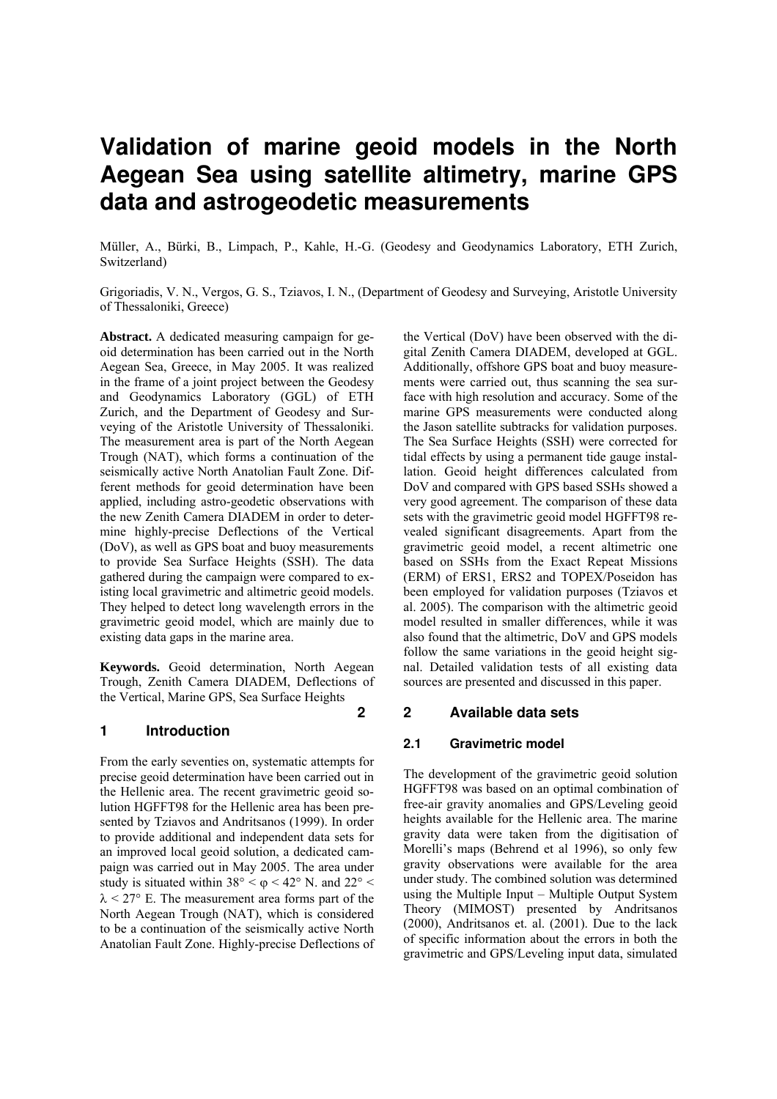# **Validation of marine geoid models in the North Aegean Sea using satellite altimetry, marine GPS data and astrogeodetic measurements**

Müller, A., Bürki, B., Limpach, P., Kahle, H.-G. (Geodesy and Geodynamics Laboratory, ETH Zurich, Switzerland)

Grigoriadis, V. N., Vergos, G. S., Tziavos, I. N., (Department of Geodesy and Surveying, Aristotle University of Thessaloniki, Greece)

**Abstract.** A dedicated measuring campaign for geoid determination has been carried out in the North Aegean Sea, Greece, in May 2005. It was realized in the frame of a joint project between the Geodesy and Geodynamics Laboratory (GGL) of ETH Zurich, and the Department of Geodesy and Surveying of the Aristotle University of Thessaloniki. The measurement area is part of the North Aegean Trough (NAT), which forms a continuation of the seismically active North Anatolian Fault Zone. Different methods for geoid determination have been applied, including astro-geodetic observations with the new Zenith Camera DIADEM in order to determine highly-precise Deflections of the Vertical (DoV), as well as GPS boat and buoy measurements to provide Sea Surface Heights (SSH). The data gathered during the campaign were compared to existing local gravimetric and altimetric geoid models. They helped to detect long wavelength errors in the gravimetric geoid model, which are mainly due to existing data gaps in the marine area.

**Keywords.** Geoid determination, North Aegean Trough, Zenith Camera DIADEM, Deflections of the Vertical, Marine GPS, Sea Surface Heights

## **1 Introduction**

From the early seventies on, systematic attempts for precise geoid determination have been carried out in the Hellenic area. The recent gravimetric geoid solution HGFFT98 for the Hellenic area has been presented by Tziavos and Andritsanos (1999). In order to provide additional and independent data sets for an improved local geoid solution, a dedicated campaign was carried out in May 2005. The area under study is situated within  $38^{\circ} < \varphi < 42^{\circ}$  N. and  $22^{\circ} <$  $\lambda$  < 27° E. The measurement area forms part of the North Aegean Trough (NAT), which is considered to be a continuation of the seismically active North Anatolian Fault Zone. Highly-precise Deflections of

the Vertical (DoV) have been observed with the digital Zenith Camera DIADEM, developed at GGL. Additionally, offshore GPS boat and buoy measurements were carried out, thus scanning the sea surface with high resolution and accuracy. Some of the marine GPS measurements were conducted along the Jason satellite subtracks for validation purposes. The Sea Surface Heights (SSH) were corrected for tidal effects by using a permanent tide gauge installation. Geoid height differences calculated from DoV and compared with GPS based SSHs showed a very good agreement. The comparison of these data sets with the gravimetric geoid model HGFFT98 revealed significant disagreements. Apart from the gravimetric geoid model, a recent altimetric one based on SSHs from the Exact Repeat Missions (ERM) of ERS1, ERS2 and TOPEX/Poseidon has been employed for validation purposes (Tziavos et al. 2005). The comparison with the altimetric geoid model resulted in smaller differences, while it was also found that the altimetric, DoV and GPS models follow the same variations in the geoid height signal. Detailed validation tests of all existing data sources are presented and discussed in this paper.

# **2 2 Available data sets**

## **2.1 Gravimetric model**

The development of the gravimetric geoid solution HGFFT98 was based on an optimal combination of free-air gravity anomalies and GPS/Leveling geoid heights available for the Hellenic area. The marine gravity data were taken from the digitisation of Morelli's maps (Behrend et al 1996), so only few gravity observations were available for the area under study. The combined solution was determined using the Multiple Input – Multiple Output System Theory (MIMOST) presented by Andritsanos (2000), Andritsanos et. al. (2001). Due to the lack of specific information about the errors in both the gravimetric and GPS/Leveling input data, simulated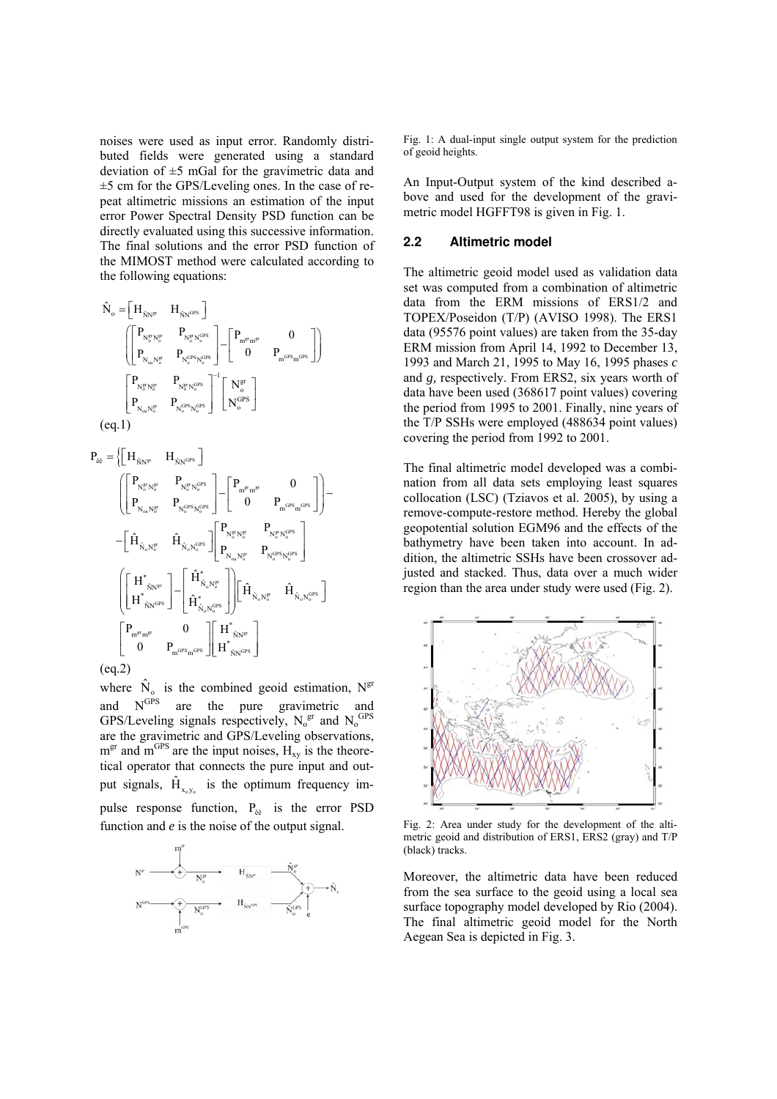noises were used as input error. Randomly distributed fields were generated using a standard deviation of  $\pm$ 5 mGal for the gravimetric data and  $\pm$ 5 cm for the GPS/Leveling ones. In the case of repeat altimetric missions an estimation of the input error Power Spectral Density PSD function can be directly evaluated using this successive information. The final solutions and the error PSD function of the MIMOST method were calculated according to the following equations:

$$
\begin{aligned} \hat{N}_\mathrm{o}=&\Big[H_{\hat{N}\mathrm{N}^\mathrm{gr}} \quad H_{\hat{N}\mathrm{N}^\mathrm{GPS}}\Big] \\ &\qquad \qquad \left(\begin{bmatrix} P_{N_\mathrm{o}^\mathrm{gr} N_\mathrm{o}^\mathrm{gr}} & P_{N_\mathrm{o}^\mathrm{gr} N_\mathrm{o}^\mathrm{GrS}} \\ P_{N_\mathrm{o} N_\mathrm{o}^\mathrm{gr}} & P_{N_\mathrm{o}^\mathrm{GrS} N_\mathrm{o}^\mathrm{GrS}} \end{bmatrix} - \begin{bmatrix} P_{m^\mathrm{gr} m^\mathrm{gr}} & 0 \\ 0 & P_{m^\mathrm{GrS} m^\mathrm{GrS}} \end{bmatrix} \right] \\ &\qquad \qquad \left(\begin{bmatrix} P_{N_\mathrm{o}^\mathrm{gr} N_\mathrm{o}^\mathrm{gr}} & P_{N_\mathrm{o}^\mathrm{gr} N_\mathrm{o}^\mathrm{GrS}} \\ P_{N_\mathrm{o} m N_\mathrm{o}^\mathrm{gr}} & P_{N_\mathrm{o}^\mathrm{GrS} N_\mathrm{o}^\mathrm{GrS}} \end{bmatrix}^{-1} \begin{bmatrix} N_\mathrm{o}^\mathrm{gr} \\ N_\mathrm{o}^\mathrm{GrS} \end{bmatrix} \\ &\qquad \qquad \left(\begin{bmatrix} \mathrm{cl.1} \end{bmatrix} \right) \end{aligned}
$$

$$
\begin{aligned} P_{\hat{e}\hat{e}} &= \Big\{ \Big[ H_{\hat{N}N^{\text{gr}}} \quad H_{\hat{N}N^{\text{GPS}}}\Big] \\ & \qquad \qquad \left[ \begin{bmatrix} P_{N^{\text{gr}}_0N^{\text{gr}}_0} & P_{N^{\text{gr}}_0N^{\text{GPS}}_0} \\ P_{N_{\text{e}}N^{\text{gr}}_0} & P_{N^{\text{GPS}}_0N^{\text{CF}}_0} \end{bmatrix} - \begin{bmatrix} P_{m^{\text{gr}}m^{\text{gr}}} & 0 \\ 0 & P_{m^{\text{GPS}}_0N^{\text{CF}}_0} \end{bmatrix} \Big] \Big] - \\ & \qquad \qquad \left[ \begin{bmatrix} \hat{H}^*_{\hat{N}_0N^{\text{gr}}_0} & \hat{H}_{\hat{N}_0N^{\text{OPS}}_0} \end{bmatrix} \right] \Bigg[ \begin{bmatrix} P_{N^{\text{gr}}_0N^{\text{gr}}_0} & P_{N^{\text{gr}}_0N^{\text{GR}}_0} \\ P_{N_{\text{e}}N^{\text{gr}}_0} & P_{N^{\text{CF}}_0N^{\text{CF}}_0} \end{bmatrix} \Bigg] \\ & \qquad \qquad \left[ \begin{bmatrix} H^*_{\hat{N}N^{\text{gr}}} \\ H^*_{\hat{N}N^{\text{GPS}}}\end{bmatrix} - \begin{bmatrix} \hat{H}^*_{\hat{N}_0N^{\text{gr}}_0} \\ \hat{H}^*_{\hat{N}_0N^{\text{CF}}_0} \end{bmatrix} \right] \Bigg[ \begin{bmatrix} \hat{H}_{\hat{N}_0N^{\text{gr}}_0} \\ \hat{H}_{\hat{N}_0N^{\text{CF}}_0} \end{bmatrix} \Bigg] \\ & \qquad \qquad \left[ \begin{bmatrix} P_{m^{\text{gr}}m^{\text{gr}}} & 0 \\ 0 & P_{m^{\text{Gr}}S_{m^{\text{GR}}}} \end{bmatrix} \Bigg[ \begin{bmatrix} H^*_{\hat{N}N^{\text{gr}}} \\ H^*_{\hat{N}N^{\text{CF}}_0} \end{bmatrix} \right] \end{aligned}
$$

(eq.2)

where  $N<sub>o</sub>$  is the combined geoid estimation,  $N<sub>gr</sub>$ and  $N<sup>GPS</sup>$  are the pure gravimetric and GPS/Leveling signals respectively,  $N_0^{\text{gt}}$  and  $N_0^{\text{GPS}}$ are the gravimetric and GPS/Leveling observations,  $m<sup>gr</sup>$  and  $m<sup>GPS</sup>$  are the input noises,  $H_{xy}$  is the theoretical operator that connects the pure input and output signals,  $\hat{H}_{x_0y_0}$  is the optimum frequency impulse response function,  $P_{\hat{e}\hat{e}}$  is the error PSD function and *e* is the noise of the output signal.



Fig. 1: A dual-input single output system for the prediction of geoid heights.

An Input-Output system of the kind described above and used for the development of the gravimetric model HGFFT98 is given in Fig. 1.

## **2.2 Altimetric model**

The altimetric geoid model used as validation data set was computed from a combination of altimetric data from the ERM missions of ERS1/2 and TOPEX/Poseidon (T/P) (AVISO 1998). The ERS1 data (95576 point values) are taken from the 35-day ERM mission from April 14, 1992 to December 13, 1993 and March 21, 1995 to May 16, 1995 phases *c* and *g,* respectively. From ERS2, six years worth of data have been used (368617 point values) covering the period from 1995 to 2001. Finally, nine years of the T/P SSHs were employed (488634 point values) covering the period from 1992 to 2001.

The final altimetric model developed was a combination from all data sets employing least squares collocation (LSC) (Tziavos et al. 2005), by using a remove-compute-restore method. Hereby the global geopotential solution EGM96 and the effects of the bathymetry have been taken into account. In addition, the altimetric SSHs have been crossover adjusted and stacked. Thus, data over a much wider region than the area under study were used (Fig. 2).



Fig. 2: Area under study for the development of the altimetric geoid and distribution of ERS1, ERS2 (gray) and T/P (black) tracks.

Moreover, the altimetric data have been reduced from the sea surface to the geoid using a local sea surface topography model developed by Rio (2004). The final altimetric geoid model for the North Aegean Sea is depicted in Fig. 3.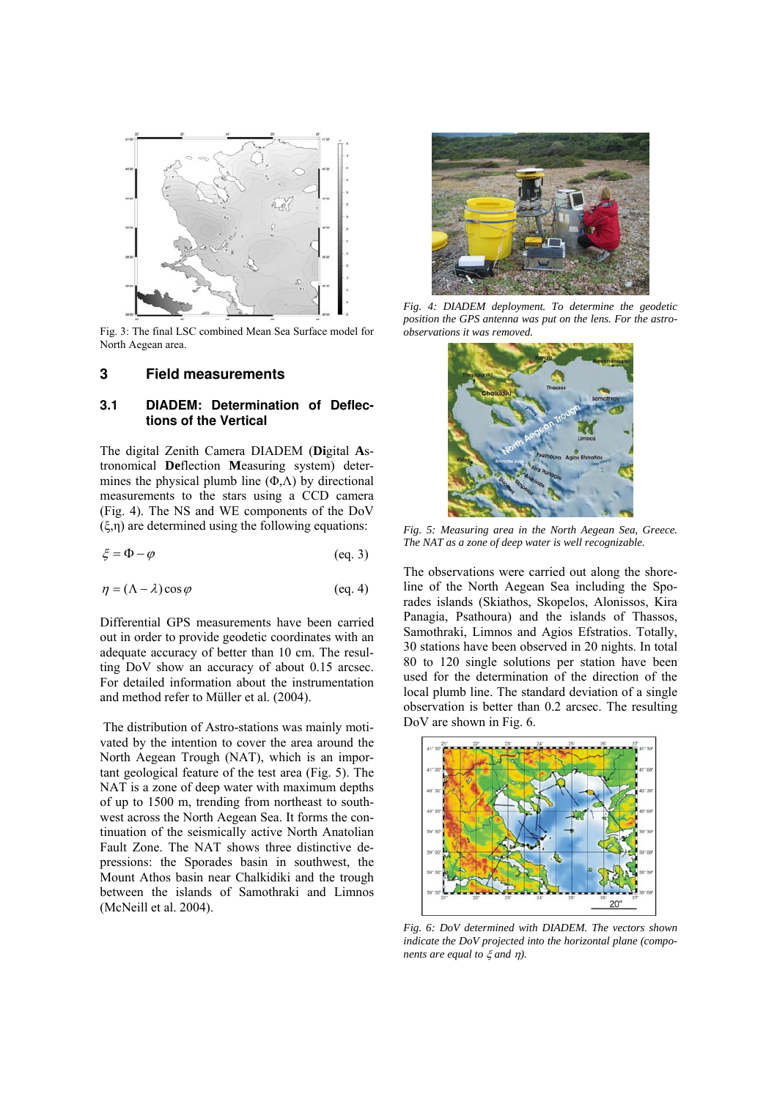

Fig. 3: The final LSC combined Mean Sea Surface model for North Aegean area.

#### **3 Field measurements**

## **3.1 DIADEM: Determination of Deflections of the Vertical**

The digital Zenith Camera DIADEM (**Di**gital **A**stronomical **De**flection **M**easuring system) determines the physical plumb line  $(\Phi, \Lambda)$  by directional measurements to the stars using a CCD camera (Fig. 4). The NS and WE components of the DoV (ξ,η) are determined using the following equations:

$$
\xi = \Phi - \varphi \tag{eq. 3}
$$

$$
\eta = (\Lambda - \lambda)\cos\varphi \tag{eq. 4}
$$

Differential GPS measurements have been carried out in order to provide geodetic coordinates with an adequate accuracy of better than 10 cm. The resulting DoV show an accuracy of about 0.15 arcsec. For detailed information about the instrumentation and method refer to Müller et al. (2004).

The distribution of Astro-stations was mainly motivated by the intention to cover the area around the North Aegean Trough (NAT), which is an important geological feature of the test area (Fig. 5). The NAT is a zone of deep water with maximum depths of up to 1500 m, trending from northeast to southwest across the North Aegean Sea. It forms the continuation of the seismically active North Anatolian Fault Zone. The NAT shows three distinctive depressions: the Sporades basin in southwest, the Mount Athos basin near Chalkidiki and the trough between the islands of Samothraki and Limnos (McNeill et al. 2004).



*Fig. 4: DIADEM deployment. To determine the geodetic position the GPS antenna was put on the lens. For the astroobservations it was removed.* 



*Fig. 5: Measuring area in the North Aegean Sea, Greece. The NAT as a zone of deep water is well recognizable.* 

The observations were carried out along the shoreline of the North Aegean Sea including the Sporades islands (Skiathos, Skopelos, Alonissos, Kira Panagia, Psathoura) and the islands of Thassos, Samothraki, Limnos and Agios Efstratios. Totally, 30 stations have been observed in 20 nights. In total 80 to 120 single solutions per station have been used for the determination of the direction of the local plumb line. The standard deviation of a single observation is better than 0.2 arcsec. The resulting DoV are shown in Fig. 6.



*Fig. 6: DoV determined with DIADEM. The vectors shown indicate the DoV projected into the horizontal plane (components are equal to* ξ *and* η*).*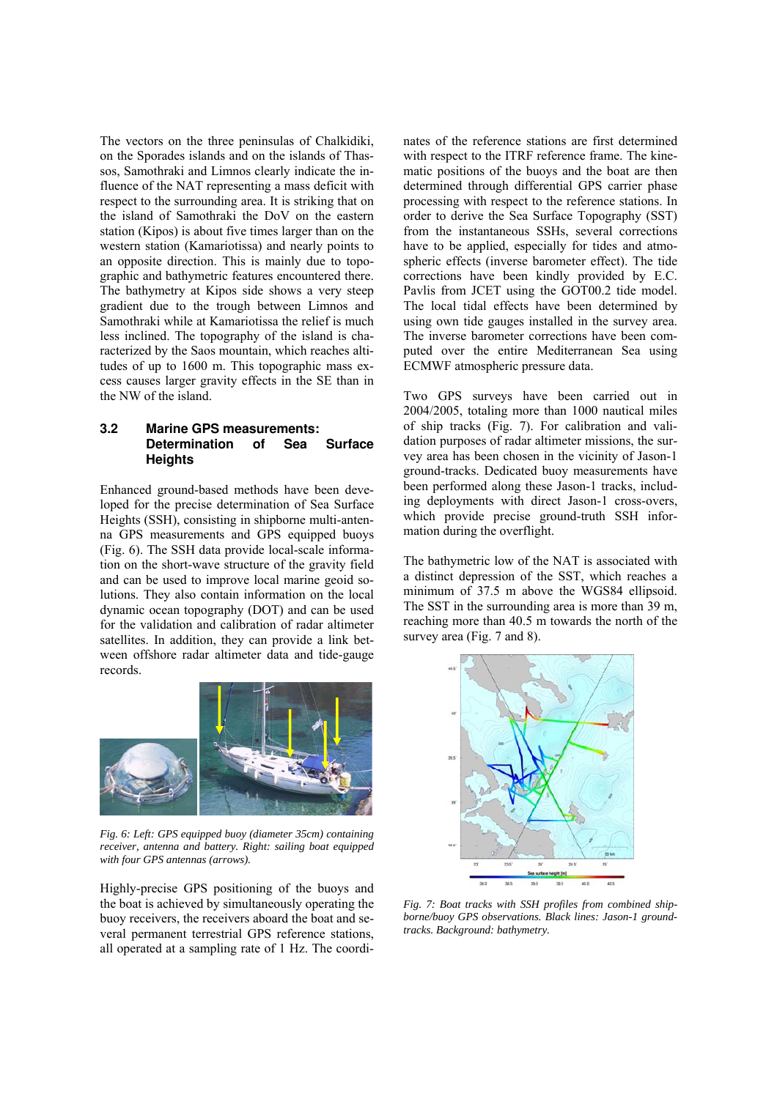The vectors on the three peninsulas of Chalkidiki, on the Sporades islands and on the islands of Thassos, Samothraki and Limnos clearly indicate the influence of the NAT representing a mass deficit with respect to the surrounding area. It is striking that on the island of Samothraki the DoV on the eastern station (Kipos) is about five times larger than on the western station (Kamariotissa) and nearly points to an opposite direction. This is mainly due to topographic and bathymetric features encountered there. The bathymetry at Kipos side shows a very steep gradient due to the trough between Limnos and Samothraki while at Kamariotissa the relief is much less inclined. The topography of the island is characterized by the Saos mountain, which reaches altitudes of up to 1600 m. This topographic mass excess causes larger gravity effects in the SE than in the NW of the island.

## **3.2 Marine GPS measurements: Determination of Sea Surface Heights**

Enhanced ground-based methods have been developed for the precise determination of Sea Surface Heights (SSH), consisting in shipborne multi-antenna GPS measurements and GPS equipped buoys (Fig. 6). The SSH data provide local-scale information on the short-wave structure of the gravity field and can be used to improve local marine geoid solutions. They also contain information on the local dynamic ocean topography (DOT) and can be used for the validation and calibration of radar altimeter satellites. In addition, they can provide a link between offshore radar altimeter data and tide-gauge records.



*Fig. 6: Left: GPS equipped buoy (diameter 35cm) containing receiver, antenna and battery. Right: sailing boat equipped with four GPS antennas (arrows).* 

Highly-precise GPS positioning of the buoys and the boat is achieved by simultaneously operating the buoy receivers, the receivers aboard the boat and several permanent terrestrial GPS reference stations, all operated at a sampling rate of 1 Hz. The coordinates of the reference stations are first determined with respect to the ITRF reference frame. The kinematic positions of the buoys and the boat are then determined through differential GPS carrier phase processing with respect to the reference stations. In order to derive the Sea Surface Topography (SST) from the instantaneous SSHs, several corrections have to be applied, especially for tides and atmospheric effects (inverse barometer effect). The tide corrections have been kindly provided by E.C. Pavlis from JCET using the GOT00.2 tide model. The local tidal effects have been determined by using own tide gauges installed in the survey area. The inverse barometer corrections have been computed over the entire Mediterranean Sea using ECMWF atmospheric pressure data.

Two GPS surveys have been carried out in 2004/2005, totaling more than 1000 nautical miles of ship tracks (Fig. 7). For calibration and validation purposes of radar altimeter missions, the survey area has been chosen in the vicinity of Jason-1 ground-tracks. Dedicated buoy measurements have been performed along these Jason-1 tracks, including deployments with direct Jason-1 cross-overs, which provide precise ground-truth SSH information during the overflight.

The bathymetric low of the NAT is associated with a distinct depression of the SST, which reaches a minimum of 37.5 m above the WGS84 ellipsoid. The SST in the surrounding area is more than 39 m, reaching more than 40.5 m towards the north of the survey area (Fig. 7 and 8).



*Fig. 7: Boat tracks with SSH profiles from combined shipborne/buoy GPS observations. Black lines: Jason-1 groundtracks. Background: bathymetry.*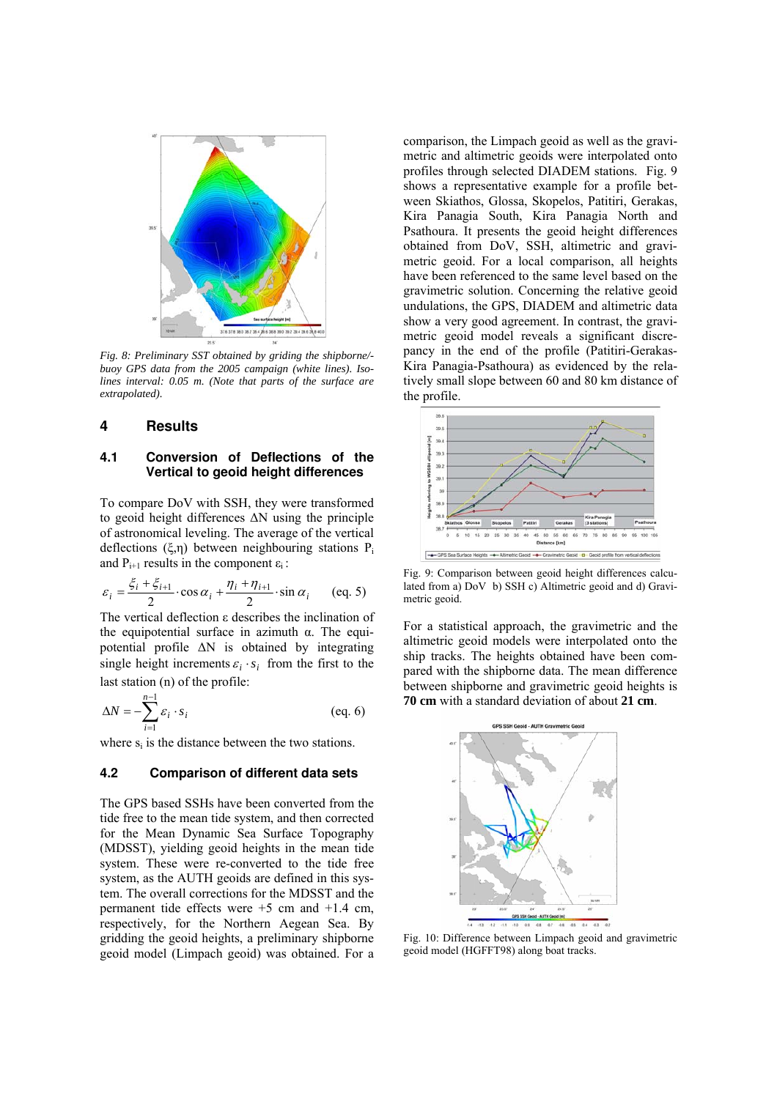

*Fig. 8: Preliminary SST obtained by griding the shipborne/ buoy GPS data from the 2005 campaign (white lines). Isolines interval: 0.05 m. (Note that parts of the surface are extrapolated).* 

## **4 Results**

### **4.1 Conversion of Deflections of the Vertical to geoid height differences**

To compare DoV with SSH, they were transformed to geoid height differences ∆N using the principle of astronomical leveling. The average of the vertical deflections (ξ,η) between neighbouring stations  $P_i$ and  $P_{i+1}$  results in the component  $\varepsilon_i$ :

$$
\varepsilon_i = \frac{\xi_i + \xi_{i+1}}{2} \cdot \cos \alpha_i + \frac{\eta_i + \eta_{i+1}}{2} \cdot \sin \alpha_i \qquad (eq. 5)
$$

The vertical deflection ε describes the inclination of the equipotential surface in azimuth α. The equipotential profile ∆N is obtained by integrating single height increments  $\varepsilon_i \cdot s_i$  from the first to the last station (n) of the profile:

$$
\Delta N = -\sum_{i=1}^{n-1} \varepsilon_i \cdot s_i \tag{eq.6}
$$

where  $s_i$  is the distance between the two stations.

#### **4.2 Comparison of different data sets**

The GPS based SSHs have been converted from the tide free to the mean tide system, and then corrected for the Mean Dynamic Sea Surface Topography (MDSST), yielding geoid heights in the mean tide system. These were re-converted to the tide free system, as the AUTH geoids are defined in this system. The overall corrections for the MDSST and the permanent tide effects were  $+5$  cm and  $+1.4$  cm, respectively, for the Northern Aegean Sea. By gridding the geoid heights, a preliminary shipborne geoid model (Limpach geoid) was obtained. For a comparison, the Limpach geoid as well as the gravimetric and altimetric geoids were interpolated onto profiles through selected DIADEM stations. Fig. 9 shows a representative example for a profile between Skiathos, Glossa, Skopelos, Patitiri, Gerakas, Kira Panagia South, Kira Panagia North and Psathoura. It presents the geoid height differences obtained from DoV, SSH, altimetric and gravimetric geoid. For a local comparison, all heights have been referenced to the same level based on the gravimetric solution. Concerning the relative geoid undulations, the GPS, DIADEM and altimetric data show a very good agreement. In contrast, the gravimetric geoid model reveals a significant discrepancy in the end of the profile (Patitiri-Gerakas-Kira Panagia-Psathoura) as evidenced by the relatively small slope between 60 and 80 km distance of the profile.



Fig. 9: Comparison between geoid height differences calculated from a) DoV b) SSH c) Altimetric geoid and d) Gravimetric geoid.

For a statistical approach, the gravimetric and the altimetric geoid models were interpolated onto the ship tracks. The heights obtained have been compared with the shipborne data. The mean difference between shipborne and gravimetric geoid heights is **70 cm** with a standard deviation of about **21 cm**.



Fig. 10: Difference between Limpach geoid and gravimetric geoid model (HGFFT98) along boat tracks.